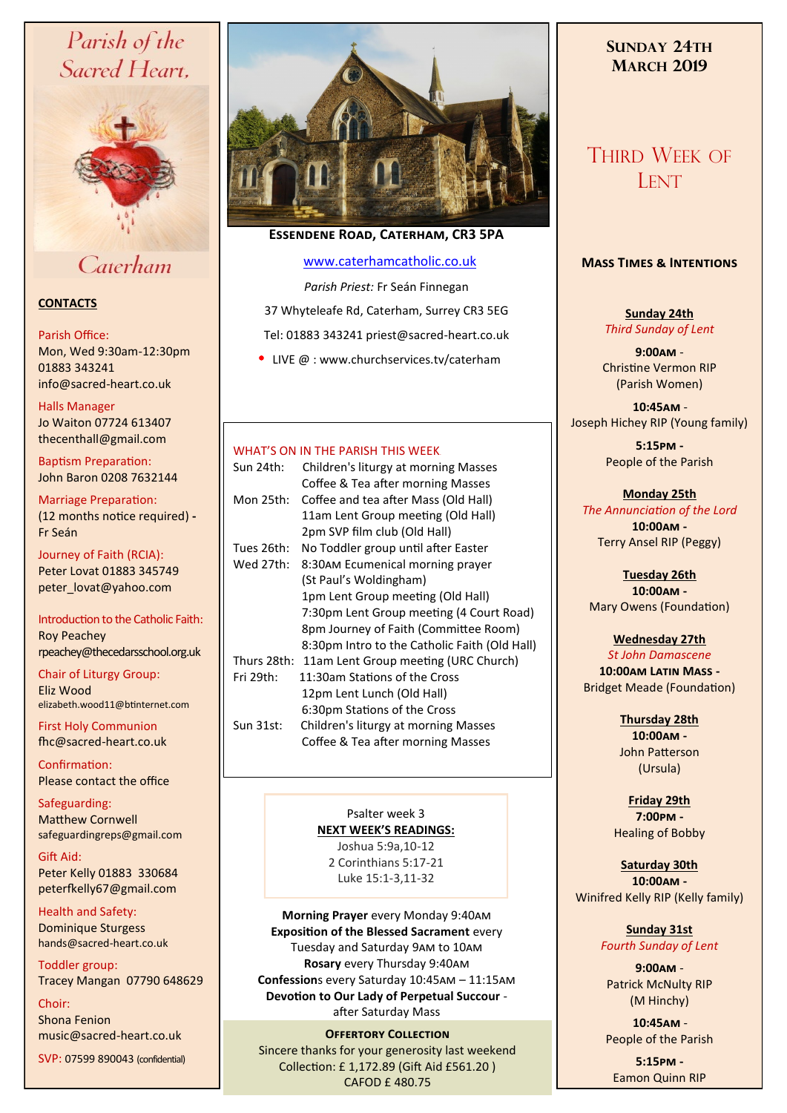# Parish of the Sacred Heart,



# Caterham

## **CONTACTS**

## Parish Office:

Mon, Wed 9:30am-12:30pm 01883 343241 info@sacred-heart.co.uk .

## Halls Manager

Jo Waiton 07724 613407 thecenthall@gmail.com

Baptism Preparation: John Baron 0208 7632144

Marriage Preparation: (12 months notice required) **-** Fr Seán

Journey of Faith (RCIA): Peter Lovat 01883 345749 peter\_lovat@yahoo.com

Introduction to the Catholic Faith: Roy Peachey rpeachey@thecedarsschool.org.uk

Chair of Liturgy Group: Eliz Wood elizabeth.wood11@btinternet.com

First Holy Communion fhc@sacred-heart.co.uk

Confirmation: Please contact the office

Safeguarding: Matthew Cornwell safeguardingreps@gmail.com

Gift Aid: Peter Kelly 01883 330684 peterfkelly67@gmail.com

Health and Safety: Dominique Sturgess hands@sacred-heart.co.uk

Toddler group: Tracey Mangan 07790 648629

Choir: Shona Fenion music@sacred-heart.co.uk

SVP: 07599 890043 (confidential)



# **Essendene Road, Caterham, CR3 5PA**

## [www.caterhamcatholic.co.uk](http://Www.caterhamcatholic.co.uk)

*Parish Priest:* Fr Seán Finnegan

37 Whyteleafe Rd, Caterham, Surrey CR3 5EG

Tel: 01883 343241 priest@sacred-heart.co.uk

• LIVE @ : www.churchservices.tv/caterham

## WHAT'S ON IN THE PARISH THIS WEEK

| Sun 24th:   | Children's liturgy at morning Masses<br>Coffee & Tea after morning Masses |
|-------------|---------------------------------------------------------------------------|
| Mon 25th:   | Coffee and tea after Mass (Old Hall)                                      |
|             | 11am Lent Group meeting (Old Hall)                                        |
|             | 2pm SVP film club (Old Hall)                                              |
| Tues 26th:  | No Toddler group until after Easter                                       |
| Wed 27th:   | 8:30AM Ecumenical morning prayer                                          |
|             | (St Paul's Woldingham)                                                    |
|             | 1pm Lent Group meeting (Old Hall)                                         |
|             | 7:30pm Lent Group meeting (4 Court Road)                                  |
|             | 8pm Journey of Faith (Committee Room)                                     |
|             | 8:30pm Intro to the Catholic Faith (Old Hall)                             |
| Thurs 28th: | 11am Lent Group meeting (URC Church)                                      |
| Fri 29th:   | 11:30am Stations of the Cross                                             |
|             | 12pm Lent Lunch (Old Hall)                                                |
|             | 6:30pm Stations of the Cross                                              |
| Sun 31st:   | Children's liturgy at morning Masses                                      |
|             | Coffee & Tea after morning Masses                                         |

Psalter week 3 **NEXT WEEK'S READINGS:**  Joshua 5:9a,10-12 2 Corinthians 5:17-21 Luke 15:1-3,11-32

**Morning Prayer** every Monday 9:40am **Exposition of the Blessed Sacrament** every Tuesday and Saturday 9am to 10am **Rosary** every Thursday 9:40am **Confession**s every Saturday 10:45am – 11:15am **Devotion to Our Lady of Perpetual Succour**  after Saturday Mass

## **OFFERTORY COLLECTION**

Sincere thanks for your generosity last weekend Collection: £ 1,172.89 (Gift Aid £561.20 ) CAFOD £ 480.75

# **SUNDAY 24TH MARCH 2019**

# THIRD WEEK OF **LENT**

## **Mass Times & Intentions**

**Sunday 24th** *Third Sunday of Lent*

**9:00am** - Christine Vermon RIP (Parish Women)

.**10:45am** - Joseph Hichey RIP (Young family)

> **5:15pm -** People of the Parish

**Monday 25th** *The Annunciation of the Lord* **10:00am -**  Terry Ansel RIP (Peggy)

**Tuesday 26th 10:00am -** Mary Owens (Foundation)

## **Wednesday 27th**

*St John Damascene* **10:00am Latin Mass -** Bridget Meade (Foundation)

> **Thursday 28th 10:00am -** John Patterson (Ursula)

**Friday 29th 7:00pm -** Healing of Bobby

**Saturday 30th 10:00am -**  Winifred Kelly RIP (Kelly family)

## **Sunday 31st**

*Fourth Sunday of Lent*

**9:00am** - Patrick McNulty RIP (M Hinchy)

.**10:45am** - People of the Parish

**5:15pm -** Eamon Quinn RIP